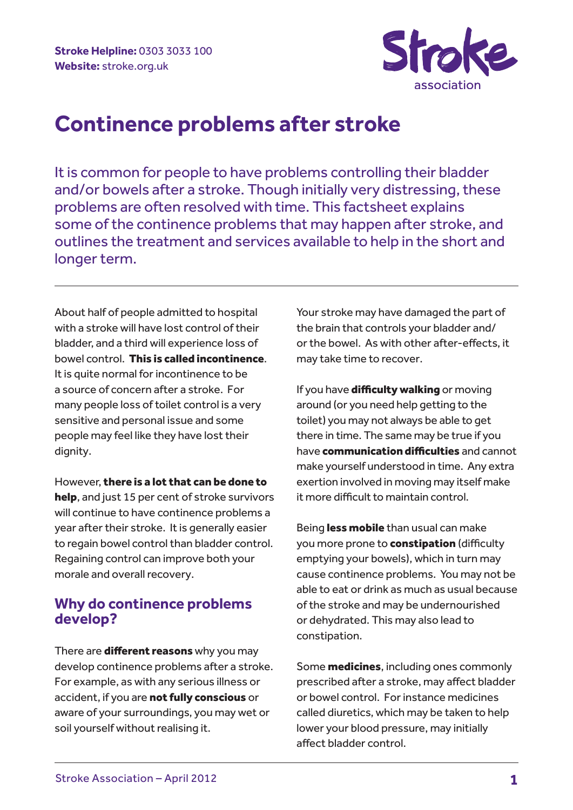

# **Continence problems after stroke**

It is common for people to have problems controlling their bladder and/or bowels after a stroke. Though initially very distressing, these problems are often resolved with time. This factsheet explains some of the continence problems that may happen after stroke, and outlines the treatment and services available to help in the short and longer term.

About half of people admitted to hospital with a stroke will have lost control of their bladder, and a third will experience loss of bowel control. This is called incontinence. It is quite normal for incontinence to be a source of concern after a stroke. For many people loss of toilet control is a very sensitive and personal issue and some people may feel like they have lost their dignity.

However, there is a lot that can be done to help, and just 15 per cent of stroke survivors will continue to have continence problems a year after their stroke. It is generally easier to regain bowel control than bladder control. Regaining control can improve both your morale and overall recovery.

# **Why do continence problems develop?**

There are **different reasons** why you may develop continence problems after a stroke. For example, as with any serious illness or accident, if you are not fully conscious or aware of your surroundings, you may wet or soil yourself without realising it.

Your stroke may have damaged the part of the brain that controls your bladder and/ or the bowel. As with other after-effects, it may take time to recover.

If you have difficulty walking or moving around (or you need help getting to the toilet) you may not always be able to get there in time. The same may be true if you have **communication difficulties** and cannot make yourself understood in time. Any extra exertion involved in moving may itself make it more difficult to maintain control.

Being less mobile than usual can make you more prone to **constipation** (difficulty emptying your bowels), which in turn may cause continence problems. You may not be able to eat or drink as much as usual because of the stroke and may be undernourished or dehydrated. This may also lead to constipation.

Some **medicines**, including ones commonly prescribed after a stroke, may affect bladder or bowel control. For instance medicines called diuretics, which may be taken to help lower your blood pressure, may initially affect bladder control.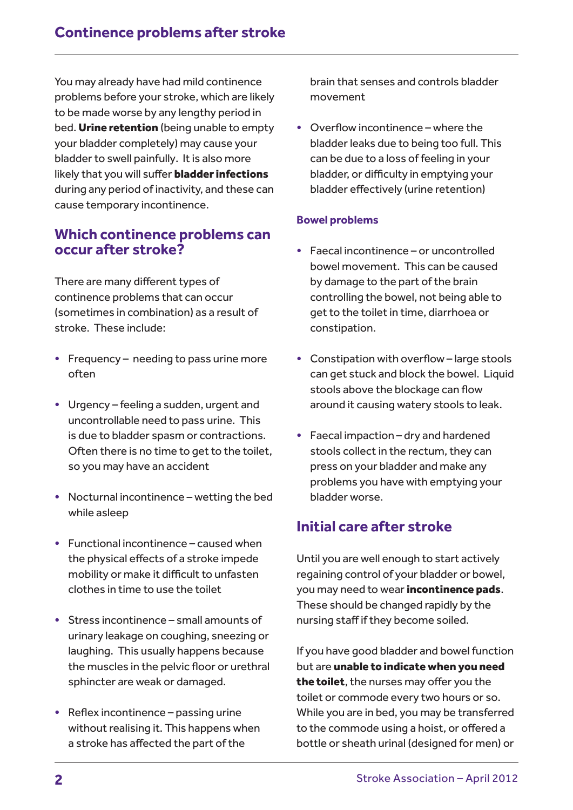You may already have had mild continence problems before your stroke, which are likely to be made worse by any lengthy period in bed. Urine retention (being unable to empty your bladder completely) may cause your bladder to swell painfully. It is also more likely that you will suffer **bladder infections** during any period of inactivity, and these can cause temporary incontinence.

## **Which continence problems can occur after stroke?**

There are many different types of continence problems that can occur (sometimes in combination) as a result of stroke. These include:

- Frequency needing to pass urine more often
- Urgency feeling a sudden, urgent and uncontrollable need to pass urine. This is due to bladder spasm or contractions. Often there is no time to get to the toilet, so you may have an accident
- Nocturnal incontinence wetting the bed while asleep
- Functional incontinence caused when the physical effects of a stroke impede mobility or make it difficult to unfasten clothes in time to use the toilet
- Stress incontinence small amounts of urinary leakage on coughing, sneezing or laughing. This usually happens because the muscles in the pelvic floor or urethral sphincter are weak or damaged.
- Reflex incontinence passing urine without realising it. This happens when a stroke has affected the part of the

brain that senses and controls bladder movement

• Overflow incontinence – where the bladder leaks due to being too full. This can be due to a loss of feeling in your bladder, or difficulty in emptying your bladder effectively (urine retention)

### **Bowel problems**

- Faecal incontinence or uncontrolled bowel movement. This can be caused by damage to the part of the brain controlling the bowel, not being able to get to the toilet in time, diarrhoea or constipation.
- Constipation with overflow large stools can get stuck and block the bowel. Liquid stools above the blockage can flow around it causing watery stools to leak.
- Faecal impaction dry and hardened stools collect in the rectum, they can press on your bladder and make any problems you have with emptying your bladder worse.

# **Initial care after stroke**

Until you are well enough to start actively regaining control of your bladder or bowel, you may need to wear incontinence pads. These should be changed rapidly by the nursing staff if they become soiled.

If you have good bladder and bowel function but are unable to indicate when you need the toilet, the nurses may offer you the toilet or commode every two hours or so. While you are in bed, you may be transferred to the commode using a hoist, or offered a bottle or sheath urinal (designed for men) or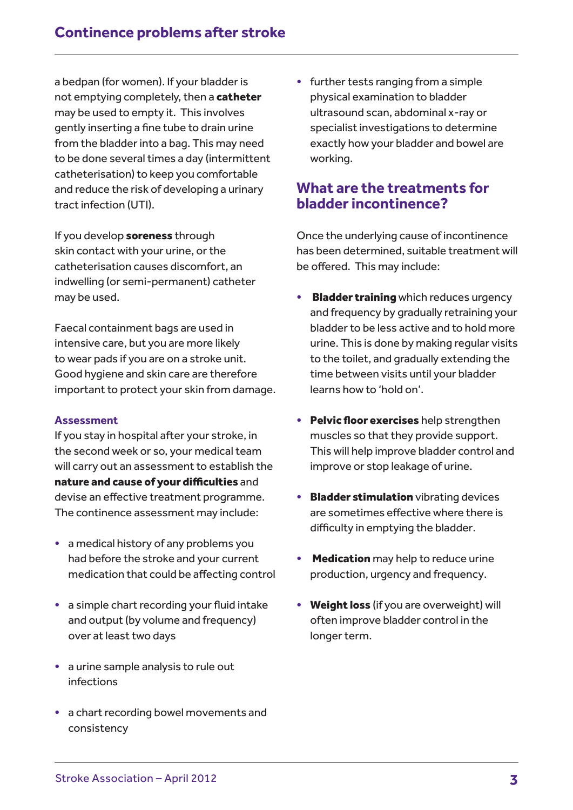a bedpan (for women). If your bladder is not emptying completely, then a catheter may be used to empty it. This involves gently inserting a fine tube to drain urine from the bladder into a bag. This may need to be done several times a day (intermittent catheterisation) to keep you comfortable and reduce the risk of developing a urinary tract infection (UTI).

If you develop soreness through skin contact with your urine, or the catheterisation causes discomfort, an indwelling (or semi-permanent) catheter may be used.

Faecal containment bags are used in intensive care, but you are more likely to wear pads if you are on a stroke unit. Good hygiene and skin care are therefore important to protect your skin from damage.

### **Assessment**

If you stay in hospital after your stroke, in the second week or so, your medical team will carry out an assessment to establish the nature and cause of your difficulties and devise an effective treatment programme. The continence assessment may include:

- a medical history of any problems you had before the stroke and your current medication that could be affecting control
- a simple chart recording your fluid intake and output (by volume and frequency) over at least two days
- a urine sample analysis to rule out infections
- a chart recording bowel movements and consistency

• further tests ranging from a simple physical examination to bladder ultrasound scan, abdominal x-ray or specialist investigations to determine exactly how your bladder and bowel are working.

### **What are the treatments for bladder incontinence?**

Once the underlying cause of incontinence has been determined, suitable treatment will be offered. This may include:

- **Bladder training** which reduces urgency and frequency by gradually retraining your bladder to be less active and to hold more urine. This is done by making regular visits to the toilet, and gradually extending the time between visits until your bladder learns how to 'hold on'.
- Pelvic floor exercises help strengthen muscles so that they provide support. This will help improve bladder control and improve or stop leakage of urine.
- **Bladder stimulation** vibrating devices are sometimes effective where there is difficulty in emptying the bladder.
- **Medication** may help to reduce urine production, urgency and frequency.
- Weight loss (if you are overweight) will often improve bladder control in the longer term.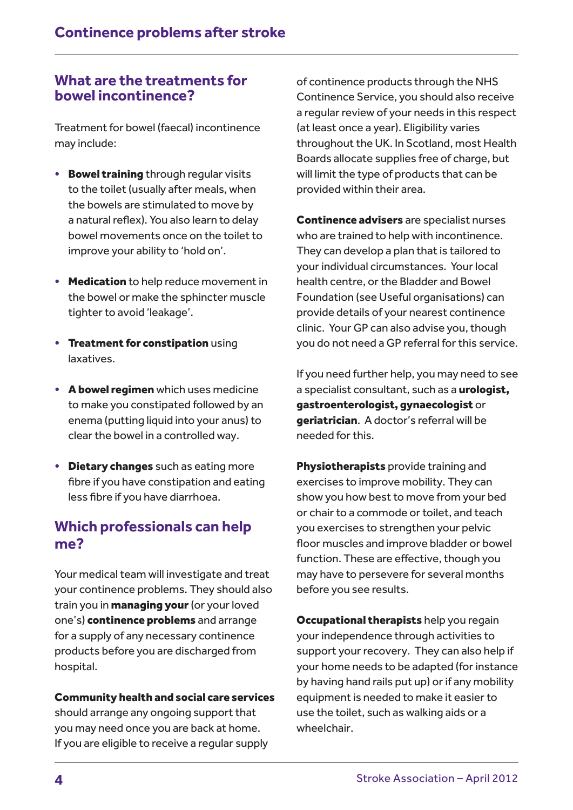## **What are the treatments for bowel incontinence?**

Treatment for bowel (faecal) incontinence may include:

- Bowel training through regular visits to the toilet (usually after meals, when the bowels are stimulated to move by a natural reflex). You also learn to delay bowel movements once on the toilet to improve your ability to 'hold on'.
- Medication to help reduce movement in the bowel or make the sphincter muscle tighter to avoid 'leakage'.
- Treatment for constipation using laxatives.
- A bowel regimen which uses medicine to make you constipated followed by an enema (putting liquid into your anus) to clear the bowel in a controlled way.
- Dietary changes such as eating more fibre if you have constipation and eating less fibre if you have diarrhoea.

# **Which professionals can help me?**

Your medical team will investigate and treat your continence problems. They should also train you in **managing your** (or your loved one's) continence problems and arrange for a supply of any necessary continence products before you are discharged from hospital.

### Community health and social care services

should arrange any ongoing support that you may need once you are back at home. If you are eligible to receive a regular supply of continence products through the NHS Continence Service, you should also receive a regular review of your needs in this respect (at least once a year). Eligibility varies throughout the UK. In Scotland, most Health Boards allocate supplies free of charge, but will limit the type of products that can be provided within their area.

Continence advisers are specialist nurses who are trained to help with incontinence. They can develop a plan that is tailored to your individual circumstances. Your local health centre, or the Bladder and Bowel Foundation (see Useful organisations) can provide details of your nearest continence clinic. Your GP can also advise you, though you do not need a GP referral for this service.

If you need further help, you may need to see a specialist consultant, such as a **urologist**, gastroenterologist, gynaecologist or geriatrician. A doctor's referral will be needed for this.

Physiotherapists provide training and exercises to improve mobility. They can show you how best to move from your bed or chair to a commode or toilet, and teach you exercises to strengthen your pelvic floor muscles and improve bladder or bowel function. These are effective, though you may have to persevere for several months before you see results.

**Occupational therapists** help you regain your independence through activities to support your recovery. They can also help if your home needs to be adapted (for instance by having hand rails put up) or if any mobility equipment is needed to make it easier to use the toilet, such as walking aids or a wheelchair.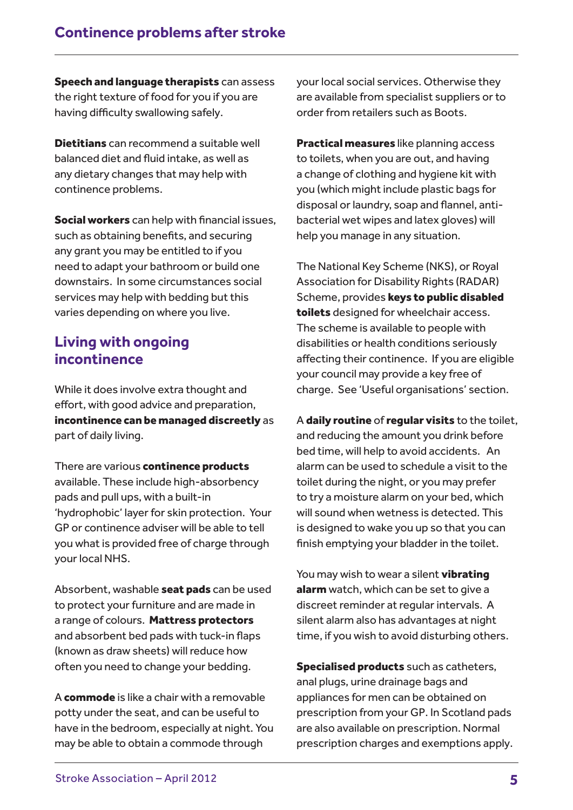Speech and language therapists can assess the right texture of food for you if you are having difficulty swallowing safely.

Dietitians can recommend a suitable well balanced diet and fluid intake, as well as any dietary changes that may help with continence problems.

Social workers can help with financial issues, such as obtaining benefits, and securing any grant you may be entitled to if you need to adapt your bathroom or build one downstairs. In some circumstances social services may help with bedding but this varies depending on where you live.

### **Living with ongoing incontinence**

While it does involve extra thought and effort, with good advice and preparation, incontinence can be managed discreetly as part of daily living.

There are various continence products available. These include high-absorbency pads and pull ups, with a built-in 'hydrophobic' layer for skin protection. Your GP or continence adviser will be able to tell you what is provided free of charge through your local NHS.

Absorbent, washable seat pads can be used to protect your furniture and are made in a range of colours. Mattress protectors and absorbent bed pads with tuck-in flaps (known as draw sheets) will reduce how often you need to change your bedding.

A commode is like a chair with a removable potty under the seat, and can be useful to have in the bedroom, especially at night. You may be able to obtain a commode through

your local social services. Otherwise they are available from specialist suppliers or to order from retailers such as Boots.

Practical measures like planning access to toilets, when you are out, and having a change of clothing and hygiene kit with you (which might include plastic bags for disposal or laundry, soap and flannel, antibacterial wet wipes and latex gloves) will help you manage in any situation.

The National Key Scheme (NKS), or Royal Association for Disability Rights (RADAR) Scheme, provides keys to public disabled toilets designed for wheelchair access. The scheme is available to people with disabilities or health conditions seriously affecting their continence. If you are eligible your council may provide a key free of charge. See 'Useful organisations' section.

A daily routine of regular visits to the toilet, and reducing the amount you drink before bed time, will help to avoid accidents. An alarm can be used to schedule a visit to the toilet during the night, or you may prefer to try a moisture alarm on your bed, which will sound when wetness is detected. This is designed to wake you up so that you can finish emptying your bladder in the toilet.

You may wish to wear a silent **vibrating** alarm watch, which can be set to give a discreet reminder at regular intervals. A silent alarm also has advantages at night time, if you wish to avoid disturbing others.

**Specialised products** such as catheters, anal plugs, urine drainage bags and appliances for men can be obtained on prescription from your GP. In Scotland pads are also available on prescription. Normal prescription charges and exemptions apply.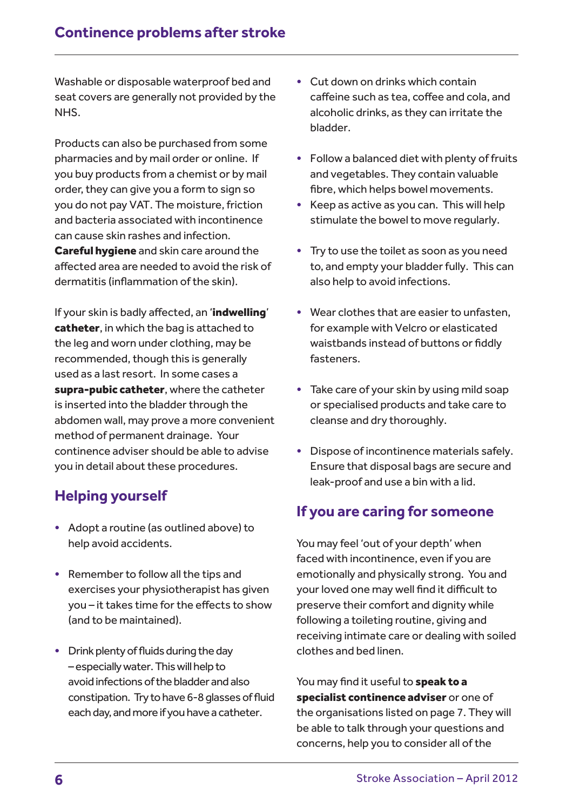Washable or disposable waterproof bed and seat covers are generally not provided by the NHS.

Products can also be purchased from some pharmacies and by mail order or online. If you buy products from a chemist or by mail order, they can give you a form to sign so you do not pay VAT. The moisture, friction and bacteria associated with incontinence can cause skin rashes and infection. **Careful hygiene** and skin care around the affected area are needed to avoid the risk of dermatitis (inflammation of the skin).

If your skin is badly affected, an 'indwelling' catheter, in which the bag is attached to the leg and worn under clothing, may be recommended, though this is generally used as a last resort. In some cases a supra-pubic catheter, where the catheter is inserted into the bladder through the abdomen wall, may prove a more convenient method of permanent drainage. Your continence adviser should be able to advise you in detail about these procedures.

# **Helping yourself**

- Adopt a routine (as outlined above) to help avoid accidents.
- Remember to follow all the tips and exercises your physiotherapist has given you – it takes time for the effects to show (and to be maintained).
- Drink plenty of fluids during the day – especially water. This will help to avoid infections of the bladder and also constipation. Try to have 6-8 glasses of fluid each day, and more if you have a catheter.
- Cut down on drinks which contain caffeine such as tea, coffee and cola, and alcoholic drinks, as they can irritate the bladder.
- Follow a balanced diet with plenty of fruits and vegetables. They contain valuable fibre, which helps bowel movements.
- Keep as active as you can. This will help stimulate the bowel to move regularly.
- Try to use the toilet as soon as you need to, and empty your bladder fully. This can also help to avoid infections.
- Wear clothes that are easier to unfasten, for example with Velcro or elasticated waistbands instead of buttons or fiddly fasteners.
- Take care of your skin by using mild soap or specialised products and take care to cleanse and dry thoroughly.
- Dispose of incontinence materials safely. Ensure that disposal bags are secure and leak-proof and use a bin with a lid.

# **If you are caring for someone**

You may feel 'out of your depth' when faced with incontinence, even if you are emotionally and physically strong. You and your loved one may well find it difficult to preserve their comfort and dignity while following a toileting routine, giving and receiving intimate care or dealing with soiled clothes and bed linen.

You may find it useful to **speak to a** specialist continence adviser or one of the organisations listed on page 7. They will be able to talk through your questions and concerns, help you to consider all of the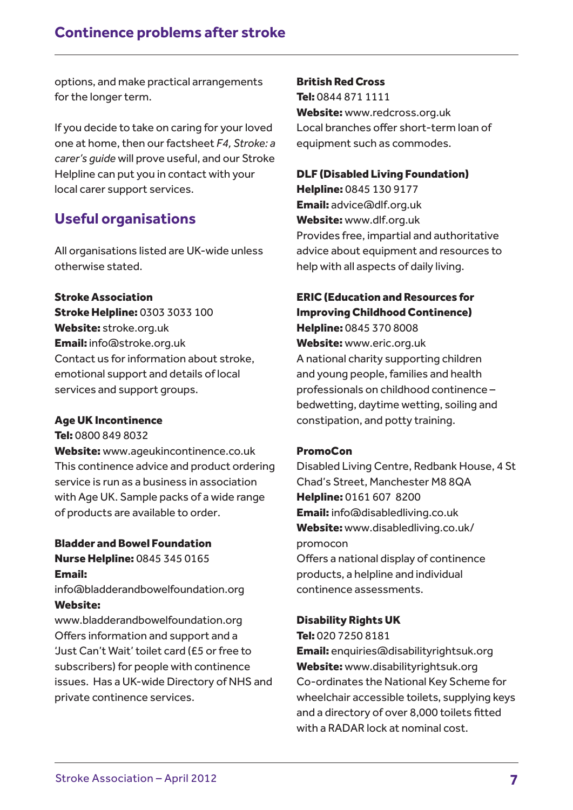options, and make practical arrangements for the longer term.

If you decide to take on caring for your loved one at home, then our factsheet *F4, Stroke: a carer's guide* will prove useful, and our Stroke Helpline can put you in contact with your local carer support services.

# **Useful organisations**

All organisations listed are UK-wide unless otherwise stated.

#### Stroke Association

Stroke Helpline: 0303 3033 100 Website: stroke.org.uk Email: info@stroke.org.uk Contact us for information about stroke, emotional support and details of local services and support groups.

### Age UK Incontinence

Tel: 0800 849 8032

Website: www.ageukincontinence.co.uk This continence advice and product ordering service is run as a business in association with Age UK. Sample packs of a wide range of products are available to order.

### Bladder and Bowel Foundation Nurse Helpline: 0845 345 0165

Email:

info@bladderandbowelfoundation.org Website:

www.bladderandbowelfoundation.org Offers information and support and a 'Just Can't Wait' toilet card (£5 or free to subscribers) for people with continence issues. Has a UK-wide Directory of NHS and private continence services.

#### British Red Cross

Tel: 0844 871 1111 Website: www.redcross.org.uk Local branches offer short-term loan of equipment such as commodes.

### DLF (Disabled Living Foundation)

Helpline: 0845 130 9177 Email: advice@dlf.org.uk Website: www.dlf.org.uk Provides free, impartial and authoritative advice about equipment and resources to help with all aspects of daily living.

### ERIC (Education and Resources for Improving Childhood Continence)

Helpline: 0845 370 8008 Website: www.eric.org.uk A national charity supporting children and young people, families and health professionals on childhood continence – bedwetting, daytime wetting, soiling and constipation, and potty training.

### PromoCon

Disabled Living Centre, Redbank House, 4 St Chad's Street, Manchester M8 8QA Helpline: 0161 607 8200 Email: info@disabledliving.co.uk Website: www.disabledliving.co.uk/ promocon Offers a national display of continence products, a helpline and individual continence assessments.

### Disability Rights UK

Tel: 020 7250 8181

Email: enquiries@disabilityrightsuk.org Website: www.disabilityrightsuk.org Co-ordinates the National Key Scheme for wheelchair accessible toilets, supplying keys and a directory of over 8,000 toilets fitted with a RADAR lock at nominal cost.